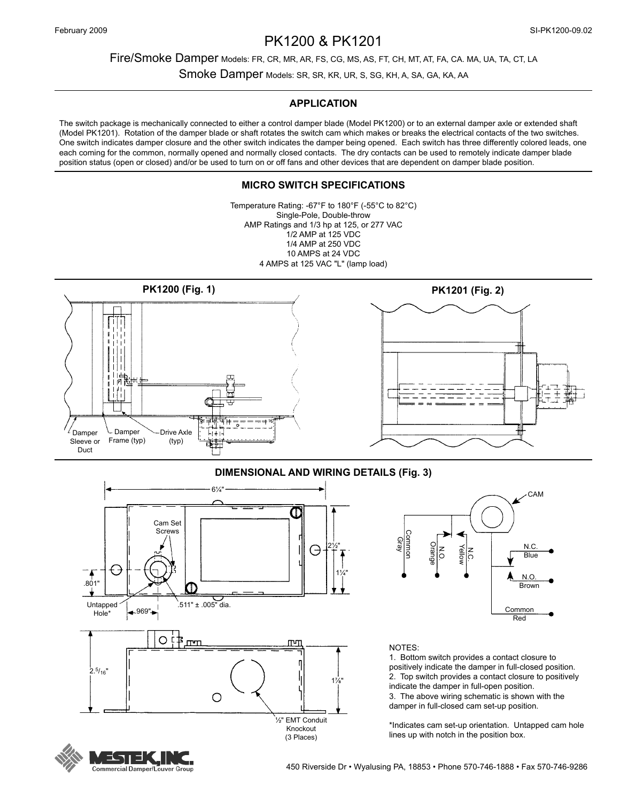# PK1200 & PK1201

## Fire/Smoke Damper Models: FR, CR, MR, AR, FS, CG, MS, AS, FT, CH, MT, AT, FA, CA. MA, UA, TA, CT, LA

Smoke Damper Models: SR, SR, KR, UR, S, SG, KH, A, SA, GA, KA, AA

## **APPLICATION**

The switch package is mechanically connected to either a control damper blade (Model PK1200) or to an external damper axle or extended shaft (Model PK1201). Rotation of the damper blade or shaft rotates the switch cam which makes or breaks the electrical contacts of the two switches. One switch indicates damper closure and the other switch indicates the damper being opened. Each switch has three differently colored leads, one each coming for the common, normally opened and normally closed contacts. The dry contacts can be used to remotely indicate damper blade position status (open or closed) and/or be used to turn on or off fans and other devices that are dependent on damper blade position.

## **MICRO SWITCH SPECIFICATIONS**

Temperature Rating: -67°F to 180°F (-55°C to 82°C) Single-Pole, Double-throw AMP Ratings and 1/3 hp at 125, or 277 VAC 1/2 AMP at 125 VDC 1/4 AMP at 250 VDC 10 AMPS at 24 VDC 4 AMPS at 125 VAC "L" (lamp load)



## **DIMENSIONAL AND WIRING DETAILS (Fig. 3)**





#### NOTES:

1. Bottom switch provides a contact closure to positively indicate the damper in full-closed position. 2. Top switch provides a contact closure to positively indicate the damper in full-open position. 3. The above wiring schematic is shown with the damper in full-closed cam set-up position.

\*Indicates cam set-up orientation. Untapped cam hole lines up with notch in the position box.